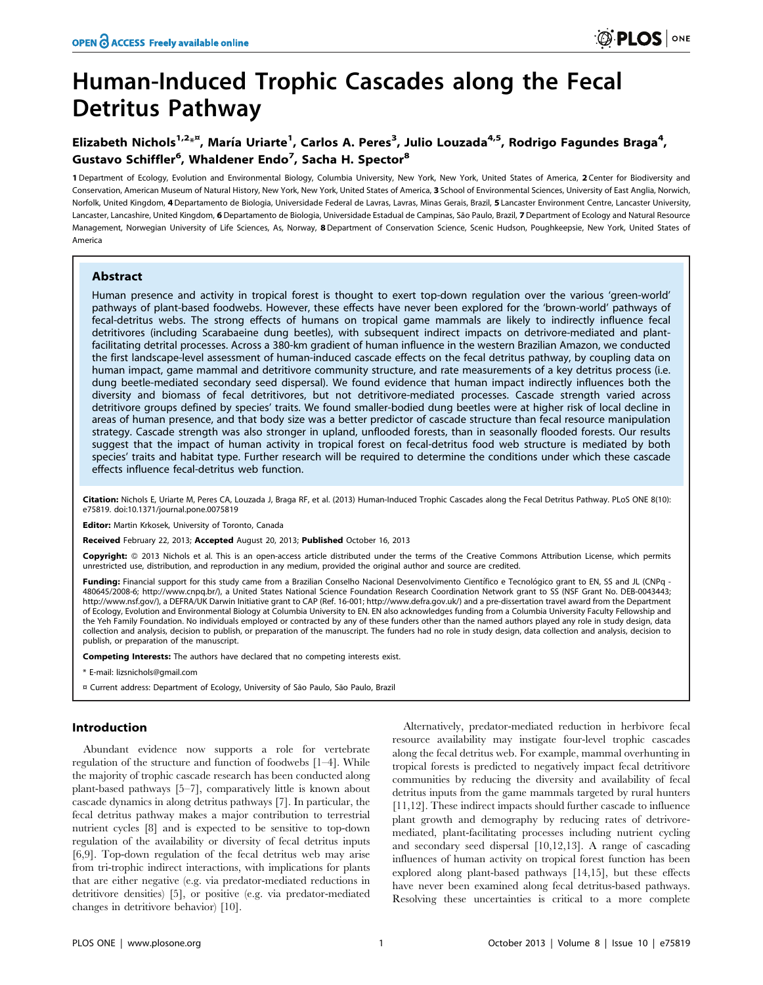# Human-Induced Trophic Cascades along the Fecal Detritus Pathway

# Elizabeth Nichols<sup>1,2</sup>\*<sup>¤</sup>, María Uriarte<sup>1</sup>, Carlos A. Peres<sup>3</sup>, Julio Louzada<sup>4,5</sup>, Rodrigo Fagundes Braga<sup>4</sup>, Gustavo Schiffler<sup>6</sup>, Whaldener Endo<sup>7</sup>, Sacha H. Spector<sup>8</sup>

1 Department of Ecology, Evolution and Environmental Biology, Columbia University, New York, New York, United States of America, 2 Center for Biodiversity and Conservation, American Museum of Natural History, New York, New York, United States of America, 3 School of Environmental Sciences, University of East Anglia, Norwich, Norfolk, United Kingdom, 4 Departamento de Biologia, Universidade Federal de Lavras, Lavras, Minas Gerais, Brazil, 5 Lancaster Environment Centre, Lancaster University, Lancaster, Lancashire, United Kingdom, 6 Departamento de Biologia, Universidade Estadual de Campinas, São Paulo, Brazil, 7 Department of Ecology and Natural Resource Management, Norwegian University of Life Sciences, As, Norway, 8 Department of Conservation Science, Scenic Hudson, Poughkeepsie, New York, United States of America

# Abstract

Human presence and activity in tropical forest is thought to exert top-down regulation over the various 'green-world' pathways of plant-based foodwebs. However, these effects have never been explored for the 'brown-world' pathways of fecal-detritus webs. The strong effects of humans on tropical game mammals are likely to indirectly influence fecal detritivores (including Scarabaeine dung beetles), with subsequent indirect impacts on detrivore-mediated and plantfacilitating detrital processes. Across a 380-km gradient of human influence in the western Brazilian Amazon, we conducted the first landscape-level assessment of human-induced cascade effects on the fecal detritus pathway, by coupling data on human impact, game mammal and detritivore community structure, and rate measurements of a key detritus process (i.e. dung beetle-mediated secondary seed dispersal). We found evidence that human impact indirectly influences both the diversity and biomass of fecal detritivores, but not detritivore-mediated processes. Cascade strength varied across detritivore groups defined by species' traits. We found smaller-bodied dung beetles were at higher risk of local decline in areas of human presence, and that body size was a better predictor of cascade structure than fecal resource manipulation strategy. Cascade strength was also stronger in upland, unflooded forests, than in seasonally flooded forests. Our results suggest that the impact of human activity in tropical forest on fecal-detritus food web structure is mediated by both species' traits and habitat type. Further research will be required to determine the conditions under which these cascade effects influence fecal-detritus web function.

Citation: Nichols E, Uriarte M, Peres CA, Louzada J, Braga RF, et al. (2013) Human-Induced Trophic Cascades along the Fecal Detritus Pathway. PLoS ONE 8(10): e75819. doi:10.1371/journal.pone.0075819

Editor: Martin Krkosek, University of Toronto, Canada

Received February 22, 2013; Accepted August 20, 2013; Published October 16, 2013

Copyright: © 2013 Nichols et al. This is an open-access article distributed under the terms of the Creative Commons Attribution License, which permits unrestricted use, distribution, and reproduction in any medium, provided the original author and source are credited.

Funding: Financial support for this study came from a Brazilian Conselho Nacional Desenvolvimento Científico e Tecnológico grant to EN, SS and JL (CNPq -480645/2008-6; http://www.cnpq.br/), a United States National Science Foundation Research Coordination Network grant to SS (NSF Grant No. DEB-0043443; http://www.nsf.gov/), a DEFRA/UK Darwin Initiative grant to CAP (Ref. 16-001; http://www.defra.gov.uk/) and a pre-dissertation travel award from the Department of Ecology, Evolution and Environmental Biology at Columbia University to EN. EN also acknowledges funding from a Columbia University Faculty Fellowship and the Yeh Family Foundation. No individuals employed or contracted by any of these funders other than the named authors played any role in study design, data collection and analysis, decision to publish, or preparation of the manuscript. The funders had no role in study design, data collection and analysis, decision to publish, or preparation of the manuscript.

Competing Interests: The authors have declared that no competing interests exist.

\* E-mail: lizsnichols@gmail.com

¤ Current address: Department of Ecology, University of São Paulo, São Paulo, Brazil

# Introduction

Abundant evidence now supports a role for vertebrate regulation of the structure and function of foodwebs [1–4]. While the majority of trophic cascade research has been conducted along plant-based pathways [5–7], comparatively little is known about cascade dynamics in along detritus pathways [7]. In particular, the fecal detritus pathway makes a major contribution to terrestrial nutrient cycles [8] and is expected to be sensitive to top-down regulation of the availability or diversity of fecal detritus inputs [6,9]. Top-down regulation of the fecal detritus web may arise from tri-trophic indirect interactions, with implications for plants that are either negative (e.g. via predator-mediated reductions in detritivore densities) [5], or positive (e.g. via predator-mediated changes in detritivore behavior) [10].

Alternatively, predator-mediated reduction in herbivore fecal resource availability may instigate four-level trophic cascades along the fecal detritus web. For example, mammal overhunting in tropical forests is predicted to negatively impact fecal detritivore communities by reducing the diversity and availability of fecal detritus inputs from the game mammals targeted by rural hunters [11,12]. These indirect impacts should further cascade to influence plant growth and demography by reducing rates of detrivoremediated, plant-facilitating processes including nutrient cycling and secondary seed dispersal [10,12,13]. A range of cascading influences of human activity on tropical forest function has been explored along plant-based pathways [14,15], but these effects have never been examined along fecal detritus-based pathways. Resolving these uncertainties is critical to a more complete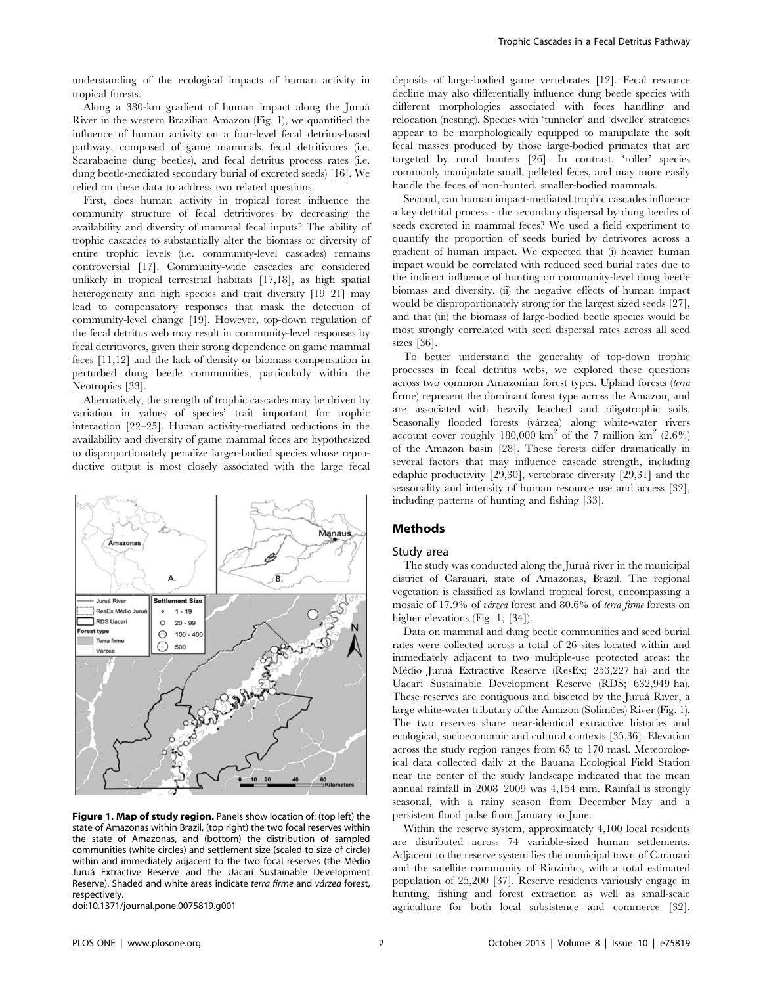understanding of the ecological impacts of human activity in tropical forests.

Along a 380-km gradient of human impact along the Jurua´ River in the western Brazilian Amazon (Fig. 1), we quantified the influence of human activity on a four-level fecal detritus-based pathway, composed of game mammals, fecal detritivores (i.e. Scarabaeine dung beetles), and fecal detritus process rates (i.e. dung beetle-mediated secondary burial of excreted seeds) [16]. We relied on these data to address two related questions.

First, does human activity in tropical forest influence the community structure of fecal detritivores by decreasing the availability and diversity of mammal fecal inputs? The ability of trophic cascades to substantially alter the biomass or diversity of entire trophic levels (i.e. community-level cascades) remains controversial [17]. Community-wide cascades are considered unlikely in tropical terrestrial habitats [17,18], as high spatial heterogeneity and high species and trait diversity [19–21] may lead to compensatory responses that mask the detection of community-level change [19]. However, top-down regulation of the fecal detritus web may result in community-level responses by fecal detritivores, given their strong dependence on game mammal feces [11,12] and the lack of density or biomass compensation in perturbed dung beetle communities, particularly within the Neotropics [33].

Alternatively, the strength of trophic cascades may be driven by variation in values of species' trait important for trophic interaction [22–25]. Human activity-mediated reductions in the availability and diversity of game mammal feces are hypothesized to disproportionately penalize larger-bodied species whose reproductive output is most closely associated with the large fecal



Figure 1. Map of study region. Panels show location of: (top left) the state of Amazonas within Brazil, (top right) the two focal reserves within the state of Amazonas, and (bottom) the distribution of sampled communities (white circles) and settlement size (scaled to size of circle) within and immediately adjacent to the two focal reserves (the Médio Juruá Extractive Reserve and the Uacarí Sustainable Development Reserve). Shaded and white areas indicate terra firme and várzea forest, respectively.

doi:10.1371/journal.pone.0075819.g001

deposits of large-bodied game vertebrates [12]. Fecal resource decline may also differentially influence dung beetle species with different morphologies associated with feces handling and relocation (nesting). Species with 'tunneler' and 'dweller' strategies appear to be morphologically equipped to manipulate the soft fecal masses produced by those large-bodied primates that are targeted by rural hunters [26]. In contrast, 'roller' species commonly manipulate small, pelleted feces, and may more easily handle the feces of non-hunted, smaller-bodied mammals.

Second, can human impact-mediated trophic cascades influence a key detrital process - the secondary dispersal by dung beetles of seeds excreted in mammal feces? We used a field experiment to quantify the proportion of seeds buried by detrivores across a gradient of human impact. We expected that (i) heavier human impact would be correlated with reduced seed burial rates due to the indirect influence of hunting on community-level dung beetle biomass and diversity, (ii) the negative effects of human impact would be disproportionately strong for the largest sized seeds [27], and that (iii) the biomass of large-bodied beetle species would be most strongly correlated with seed dispersal rates across all seed sizes [36].

To better understand the generality of top-down trophic processes in fecal detritus webs, we explored these questions across two common Amazonian forest types. Upland forests (terra firme) represent the dominant forest type across the Amazon, and are associated with heavily leached and oligotrophic soils. Seasonally flooded forests (várzea) along white-water rivers account cover roughly 180,000 km<sup>2</sup> of the 7 million km<sup>2</sup>  $(2.6\%)$ of the Amazon basin [28]. These forests differ dramatically in several factors that may influence cascade strength, including edaphic productivity [29,30], vertebrate diversity [29,31] and the seasonality and intensity of human resource use and access [32], including patterns of hunting and fishing [33].

# Methods

#### Study area

The study was conducted along the Juruá river in the municipal district of Carauari, state of Amazonas, Brazil. The regional vegetation is classified as lowland tropical forest, encompassing a mosaic of 17.9% of várzea forest and 80.6% of terra firme forests on higher elevations (Fig. 1; [34]).

Data on mammal and dung beetle communities and seed burial rates were collected across a total of 26 sites located within and immediately adjacent to two multiple-use protected areas: the Médio Juruá Extractive Reserve (ResEx; 253,227 ha) and the Uacari Sustainable Development Reserve (RDS; 632,949 ha). These reserves are contiguous and bisected by the Juruá River, a large white-water tributary of the Amazon (Solimões) River (Fig. 1). The two reserves share near-identical extractive histories and ecological, socioeconomic and cultural contexts [35,36]. Elevation across the study region ranges from 65 to 170 masl. Meteorological data collected daily at the Bauana Ecological Field Station near the center of the study landscape indicated that the mean annual rainfall in 2008–2009 was 4,154 mm. Rainfall is strongly seasonal, with a rainy season from December–May and a persistent flood pulse from January to June.

Within the reserve system, approximately 4,100 local residents are distributed across 74 variable-sized human settlements. Adjacent to the reserve system lies the municipal town of Carauari and the satellite community of Riozinho, with a total estimated population of 25,200 [37]. Reserve residents variously engage in hunting, fishing and forest extraction as well as small-scale agriculture for both local subsistence and commerce [32].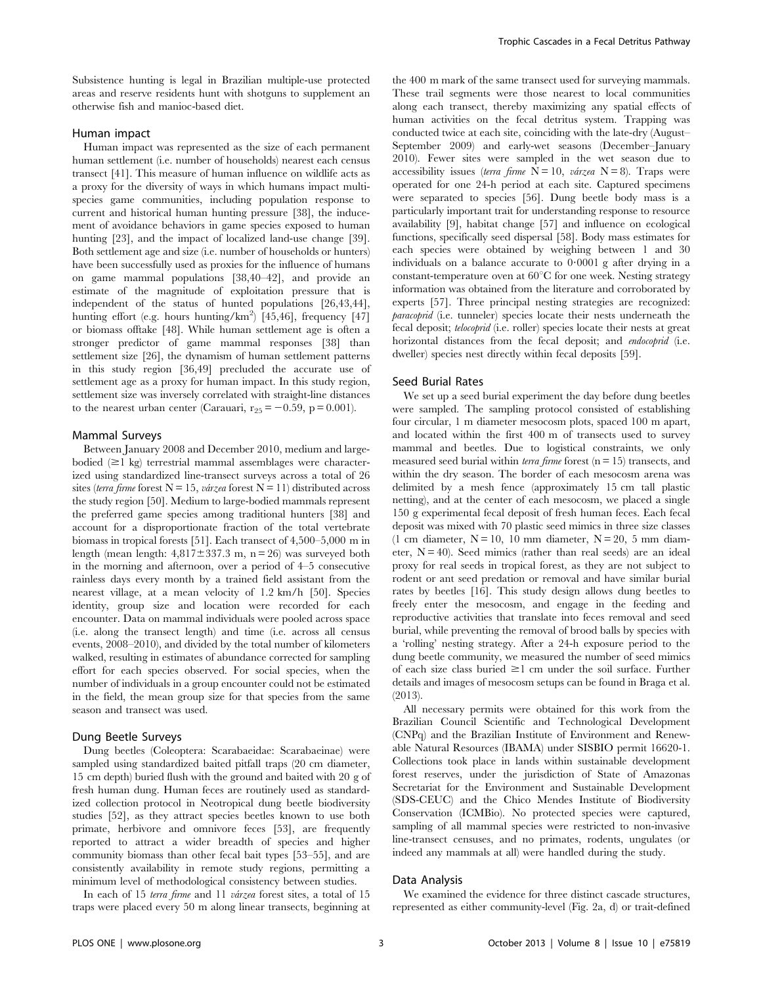Subsistence hunting is legal in Brazilian multiple-use protected areas and reserve residents hunt with shotguns to supplement an otherwise fish and manioc-based diet.

#### Human impact

Human impact was represented as the size of each permanent human settlement (i.e. number of households) nearest each census transect [41]. This measure of human influence on wildlife acts as a proxy for the diversity of ways in which humans impact multispecies game communities, including population response to current and historical human hunting pressure [38], the inducement of avoidance behaviors in game species exposed to human hunting [23], and the impact of localized land-use change [39]. Both settlement age and size (i.e. number of households or hunters) have been successfully used as proxies for the influence of humans on game mammal populations [38,40–42], and provide an estimate of the magnitude of exploitation pressure that is independent of the status of hunted populations [26,43,44], hunting effort (e.g. hours hunting/ $km^2$ ) [45,46], frequency [47] or biomass offtake [48]. While human settlement age is often a stronger predictor of game mammal responses [38] than settlement size [26], the dynamism of human settlement patterns in this study region [36,49] precluded the accurate use of settlement age as a proxy for human impact. In this study region, settlement size was inversely correlated with straight-line distances to the nearest urban center (Carauari,  $r_{25} = -0.59$ , p = 0.001).

#### Mammal Surveys

Between January 2008 and December 2010, medium and largebodied  $(\geq 1 \text{ kg})$  terrestrial mammal assemblages were characterized using standardized line-transect surveys across a total of 26 sites (terra firme forest  $N = 15$ , várzea forest  $N = 11$ ) distributed across the study region [50]. Medium to large-bodied mammals represent the preferred game species among traditional hunters [38] and account for a disproportionate fraction of the total vertebrate biomass in tropical forests [51]. Each transect of 4,500–5,000 m in length (mean length:  $4,817 \pm 337.3$  m, n = 26) was surveyed both in the morning and afternoon, over a period of 4–5 consecutive rainless days every month by a trained field assistant from the nearest village, at a mean velocity of 1.2 km/h [50]. Species identity, group size and location were recorded for each encounter. Data on mammal individuals were pooled across space (i.e. along the transect length) and time (i.e. across all census events, 2008–2010), and divided by the total number of kilometers walked, resulting in estimates of abundance corrected for sampling effort for each species observed. For social species, when the number of individuals in a group encounter could not be estimated in the field, the mean group size for that species from the same season and transect was used.

#### Dung Beetle Surveys

Dung beetles (Coleoptera: Scarabaeidae: Scarabaeinae) were sampled using standardized baited pitfall traps (20 cm diameter, 15 cm depth) buried flush with the ground and baited with 20 g of fresh human dung. Human feces are routinely used as standardized collection protocol in Neotropical dung beetle biodiversity studies [52], as they attract species beetles known to use both primate, herbivore and omnivore feces [53], are frequently reported to attract a wider breadth of species and higher community biomass than other fecal bait types [53–55], and are consistently availability in remote study regions, permitting a minimum level of methodological consistency between studies.

In each of 15 terra firme and 11 várzea forest sites, a total of 15 traps were placed every 50 m along linear transects, beginning at the 400 m mark of the same transect used for surveying mammals. These trail segments were those nearest to local communities along each transect, thereby maximizing any spatial effects of human activities on the fecal detritus system. Trapping was conducted twice at each site, coinciding with the late-dry (August– September 2009) and early-wet seasons (December–January 2010). Fewer sites were sampled in the wet season due to accessibility issues (terra firme  $N = 10$ , várzea  $N = 8$ ). Traps were operated for one 24-h period at each site. Captured specimens were separated to species [56]. Dung beetle body mass is a particularly important trait for understanding response to resource availability [9], habitat change [57] and influence on ecological functions, specifically seed dispersal [58]. Body mass estimates for each species were obtained by weighing between 1 and 30 individuals on a balance accurate to  $0.0001$  g after drying in a constant-temperature oven at  $60^{\circ}$ C for one week. Nesting strategy information was obtained from the literature and corroborated by experts [57]. Three principal nesting strategies are recognized: paracoprid (i.e. tunneler) species locate their nests underneath the fecal deposit; telocoprid (i.e. roller) species locate their nests at great horizontal distances from the fecal deposit; and endocoprid (i.e. dweller) species nest directly within fecal deposits [59].

# Seed Burial Rates

We set up a seed burial experiment the day before dung beetles were sampled. The sampling protocol consisted of establishing four circular, 1 m diameter mesocosm plots, spaced 100 m apart, and located within the first 400 m of transects used to survey mammal and beetles. Due to logistical constraints, we only measured seed burial within *terra firme* forest ( $n = 15$ ) transects, and within the dry season. The border of each mesocosm arena was delimited by a mesh fence (approximately 15 cm tall plastic netting), and at the center of each mesocosm, we placed a single 150 g experimental fecal deposit of fresh human feces. Each fecal deposit was mixed with 70 plastic seed mimics in three size classes (1 cm diameter,  $N = 10$ , 10 mm diameter,  $N = 20$ , 5 mm diameter,  $N = 40$ ). Seed mimics (rather than real seeds) are an ideal proxy for real seeds in tropical forest, as they are not subject to rodent or ant seed predation or removal and have similar burial rates by beetles [16]. This study design allows dung beetles to freely enter the mesocosm, and engage in the feeding and reproductive activities that translate into feces removal and seed burial, while preventing the removal of brood balls by species with a 'rolling' nesting strategy. After a 24-h exposure period to the dung beetle community, we measured the number of seed mimics of each size class buried  $\geq 1$  cm under the soil surface. Further details and images of mesocosm setups can be found in Braga et al. (2013).

All necessary permits were obtained for this work from the Brazilian Council Scientific and Technological Development (CNPq) and the Brazilian Institute of Environment and Renewable Natural Resources (IBAMA) under SISBIO permit 16620-1. Collections took place in lands within sustainable development forest reserves, under the jurisdiction of State of Amazonas Secretariat for the Environment and Sustainable Development (SDS-CEUC) and the Chico Mendes Institute of Biodiversity Conservation (ICMBio). No protected species were captured, sampling of all mammal species were restricted to non-invasive line-transect censuses, and no primates, rodents, ungulates (or indeed any mammals at all) were handled during the study.

### Data Analysis

We examined the evidence for three distinct cascade structures, represented as either community-level (Fig. 2a, d) or trait-defined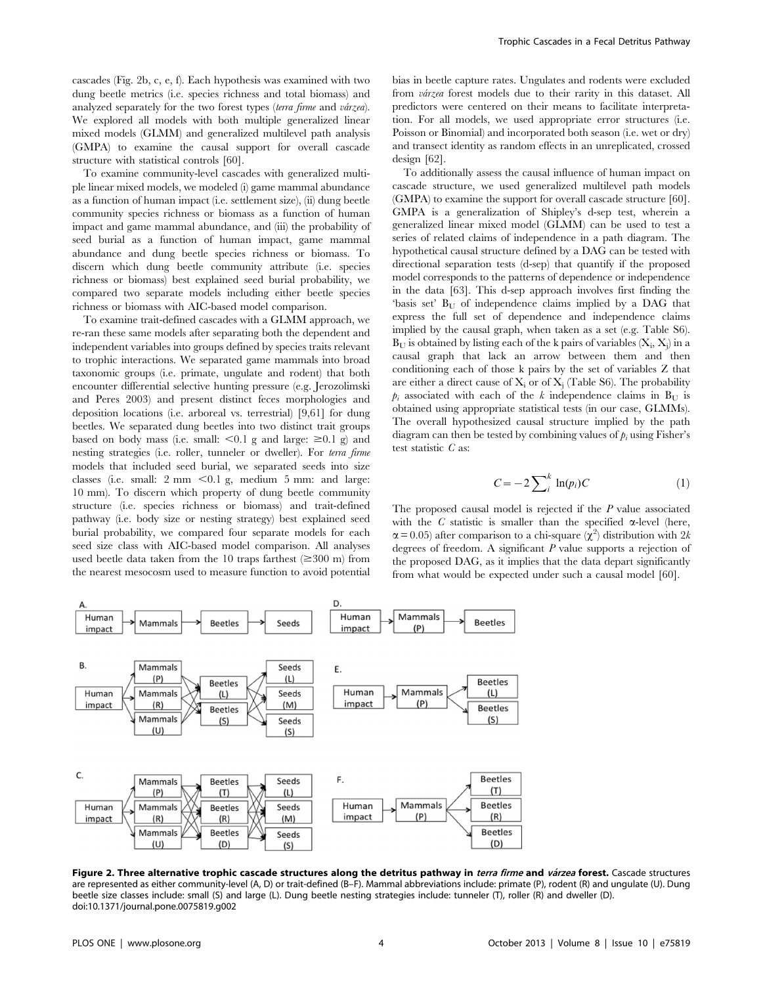cascades (Fig. 2b, c, e, f). Each hypothesis was examined with two dung beetle metrics (i.e. species richness and total biomass) and analyzed separately for the two forest types (terra firme and várzea). We explored all models with both multiple generalized linear mixed models (GLMM) and generalized multilevel path analysis (GMPA) to examine the causal support for overall cascade structure with statistical controls [60].

To examine community-level cascades with generalized multiple linear mixed models, we modeled (i) game mammal abundance as a function of human impact (i.e. settlement size), (ii) dung beetle community species richness or biomass as a function of human impact and game mammal abundance, and (iii) the probability of seed burial as a function of human impact, game mammal abundance and dung beetle species richness or biomass. To discern which dung beetle community attribute (i.e. species richness or biomass) best explained seed burial probability, we compared two separate models including either beetle species richness or biomass with AIC-based model comparison.

To examine trait-defined cascades with a GLMM approach, we re-ran these same models after separating both the dependent and independent variables into groups defined by species traits relevant to trophic interactions. We separated game mammals into broad taxonomic groups (i.e. primate, ungulate and rodent) that both encounter differential selective hunting pressure (e.g. Jerozolimski and Peres 2003) and present distinct feces morphologies and deposition locations (i.e. arboreal vs. terrestrial) [9,61] for dung beetles. We separated dung beetles into two distinct trait groups based on body mass (i.e. small:  $\leq 0.1$  g and large:  $\geq 0.1$  g) and nesting strategies (i.e. roller, tunneler or dweller). For terra firme models that included seed burial, we separated seeds into size classes (i.e. small:  $2 \text{ mm} < 0.1 \text{ g}$ , medium 5 mm: and large: 10 mm). To discern which property of dung beetle community structure (i.e. species richness or biomass) and trait-defined pathway (i.e. body size or nesting strategy) best explained seed burial probability, we compared four separate models for each seed size class with AIC-based model comparison. All analyses used beetle data taken from the 10 traps farthest  $(\geq 300 \text{ m})$  from the nearest mesocosm used to measure function to avoid potential bias in beetle capture rates. Ungulates and rodents were excluded from várzea forest models due to their rarity in this dataset. All predictors were centered on their means to facilitate interpretation. For all models, we used appropriate error structures (i.e. Poisson or Binomial) and incorporated both season (i.e. wet or dry) and transect identity as random effects in an unreplicated, crossed design [62].

To additionally assess the causal influence of human impact on cascade structure, we used generalized multilevel path models (GMPA) to examine the support for overall cascade structure [60]. GMPA is a generalization of Shipley's d-sep test, wherein a generalized linear mixed model (GLMM) can be used to test a series of related claims of independence in a path diagram. The hypothetical causal structure defined by a DAG can be tested with directional separation tests (d-sep) that quantify if the proposed model corresponds to the patterns of dependence or independence in the data [63]. This d-sep approach involves first finding the 'basis set'  $B_U$  of independence claims implied by a DAG that express the full set of dependence and independence claims implied by the causal graph, when taken as a set (e.g. Table S6).  $B_U$  is obtained by listing each of the k pairs of variables  $(X_i, X_j)$  in a causal graph that lack an arrow between them and then conditioning each of those k pairs by the set of variables Z that are either a direct cause of  $X_i$  or of  $X_i$  (Table S6). The probability  $p_i$  associated with each of the k independence claims in B<sub>U</sub> is obtained using appropriate statistical tests (in our case, GLMMs). The overall hypothesized causal structure implied by the path diagram can then be tested by combining values of  $p_i$  using Fisher's test statistic C as:

$$
C = -2\sum_{i}^{k} \ln(p_i)C \tag{1}
$$

The proposed causal model is rejected if the P value associated with the C statistic is smaller than the specified  $\alpha$ -level (here,  $\alpha$  = 0.05) after comparison to a chi-square  $(\chi^2)$  distribution with 2k degrees of freedom. A significant  $P$  value supports a rejection of the proposed DAG, as it implies that the data depart significantly from what would be expected under such a causal model [60].



Figure 2. Three alternative trophic cascade structures along the detritus pathway in terra firme and várzea forest. Cascade structures are represented as either community-level (A, D) or trait-defined (B–F). Mammal abbreviations include: primate (P), rodent (R) and ungulate (U). Dung beetle size classes include: small (S) and large (L). Dung beetle nesting strategies include: tunneler (T), roller (R) and dweller (D). doi:10.1371/journal.pone.0075819.g002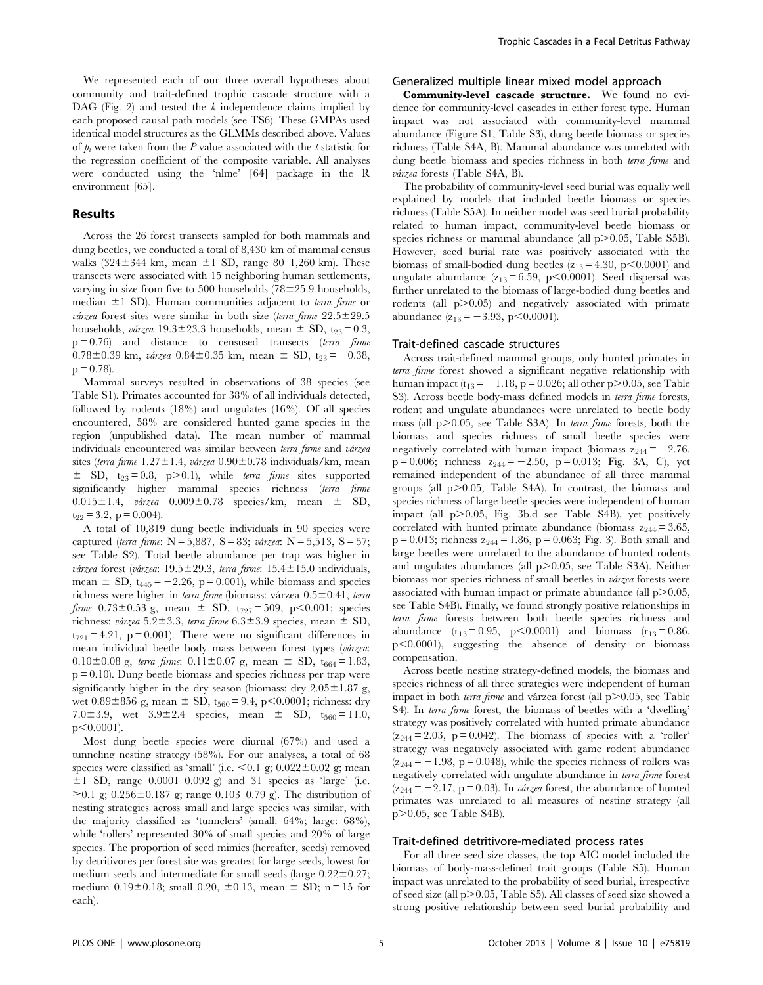We represented each of our three overall hypotheses about community and trait-defined trophic cascade structure with a DAG (Fig. 2) and tested the  $k$  independence claims implied by each proposed causal path models (see TS6). These GMPAs used identical model structures as the GLMMs described above. Values of  $p_i$  were taken from the P value associated with the t statistic for the regression coefficient of the composite variable. All analyses were conducted using the 'nlme' [64] package in the R environment [65].

#### Results

Across the 26 forest transects sampled for both mammals and dung beetles, we conducted a total of 8,430 km of mammal census walks  $(324 \pm 344 \text{ km}, \text{mean } \pm 1 \text{ SD}, \text{range } 80-1,260 \text{ km})$ . These transects were associated with 15 neighboring human settlements, varying in size from five to 500 households  $(78\pm25.9$  households, median  $\pm 1$  SD). Human communities adjacent to *terra firme* or várzea forest sites were similar in both size (terra firme  $22.5 \pm 29.5$ households, várzea  $19.3\pm23.3$  households, mean  $\pm$  SD, t<sub>23</sub>= 0.3,  $p = 0.76$ ) and distance to censused transects (terra firme  $0.78\pm0.39$  km, várzea  $0.84\pm0.35$  km, mean  $\pm$  SD, t<sub>23</sub> = -0.38,  $p = 0.78$ ).

Mammal surveys resulted in observations of 38 species (see Table S1). Primates accounted for 38% of all individuals detected, followed by rodents (18%) and ungulates (16%). Of all species encountered, 58% are considered hunted game species in the region (unpublished data). The mean number of mammal individuals encountered was similar between terra firme and várzea sites (terra firme  $1.27 \pm 1.4$ , várzea  $0.90 \pm 0.78$  individuals/km, mean  $\pm$  SD, t<sub>23</sub>= 0.8, p>0.1), while terra firme sites supported significantly higher mammal species richness (terra firme  $0.015\pm1.4$ , várzea  $0.009\pm0.78$  species/km, mean  $\pm$  SD,  $t_{22} = 3.2$ ,  $p = 0.004$ ).

A total of 10,819 dung beetle individuals in 90 species were captured (terra firme:  $N = 5,887$ ,  $S = 83$ ; várzea:  $N = 5,513$ ,  $S = 57$ ; see Table S2). Total beetle abundance per trap was higher in várzea forest (várzea:  $19.5 \pm 29.3$ , terra firme:  $15.4 \pm 15.0$  individuals, mean  $\pm$  SD, t<sub>445</sub> = -2.26, p = 0.001), while biomass and species richness were higher in terra firme (biomass: várzea  $0.5\pm0.41$ , terra *firme*  $0.73 \pm 0.53$  g, mean  $\pm$  SD, t<sub>727</sub> = 509, p<0.001; species richness: várzea 5.2 $\pm$ 3.3, terra firme 6.3 $\pm$ 3.9 species, mean  $\pm$  SD,  $t_{721} = 4.21$ , p = 0.001). There were no significant differences in mean individual beetle body mass between forest types (várzea:  $0.10\pm0.08$  g, terra firme:  $0.11\pm0.07$  g, mean  $\pm$  SD, t<sub>664</sub> = 1.83,  $p = 0.10$ . Dung beetle biomass and species richness per trap were significantly higher in the dry season (biomass: dry  $2.05 \pm 1.87$  g, wet  $0.89\pm856$  g, mean  $\pm$  SD, t<sub>560</sub> = 9.4, p $< 0.0001$ ; richness: dry 7.0 $\pm$ 3.9, wet 3.9 $\pm$ 2.4 species, mean  $\pm$  SD, t<sub>560</sub>= 11.0,  $p<0.0001$ ).

Most dung beetle species were diurnal (67%) and used a tunneling nesting strategy (58%). For our analyses, a total of 68 species were classified as 'small' (i.e.  $\leq 0.1$  g; 0.022 $\pm$ 0.02 g; mean  $\pm 1$  SD, range 0.0001–0.092 g) and 31 species as 'large' (i.e.  $\geq 0.1$  g; 0.256 $\pm$ 0.187 g; range 0.103–0.79 g). The distribution of nesting strategies across small and large species was similar, with the majority classified as 'tunnelers' (small: 64%; large: 68%), while 'rollers' represented 30% of small species and 20% of large species. The proportion of seed mimics (hereafter, seeds) removed by detritivores per forest site was greatest for large seeds, lowest for medium seeds and intermediate for small seeds (large  $0.22 \pm 0.27$ ; medium  $0.19 \pm 0.18$ ; small  $0.20, \pm 0.13$ , mean  $\pm$  SD; n = 15 for each).

# Generalized multiple linear mixed model approach

Community-level cascade structure. We found no evidence for community-level cascades in either forest type. Human impact was not associated with community-level mammal abundance (Figure S1, Table S3), dung beetle biomass or species richness (Table S4A, B). Mammal abundance was unrelated with dung beetle biomass and species richness in both *terra firme* and várzea forests (Table S4A, B).

The probability of community-level seed burial was equally well explained by models that included beetle biomass or species richness (Table S5A). In neither model was seed burial probability related to human impact, community-level beetle biomass or species richness or mammal abundance (all  $p > 0.05$ , Table S5B). However, seed burial rate was positively associated with the biomass of small-bodied dung beetles  $(z_{13} = 4.30, p < 0.0001)$  and ungulate abundance  $(z_{13} = 6.59, p < 0.0001)$ . Seed dispersal was further unrelated to the biomass of large-bodied dung beetles and rodents (all  $p > 0.05$ ) and negatively associated with primate abundance  $(z_{13} = -3.93, p < 0.0001)$ .

### Trait-defined cascade structures

Across trait-defined mammal groups, only hunted primates in terra firme forest showed a significant negative relationship with human impact  $(t_{13} = -1.18, p = 0.026$ ; all other p $> 0.05$ , see Table S3). Across beetle body-mass defined models in *terra firme* forests, rodent and ungulate abundances were unrelated to beetle body mass (all  $p > 0.05$ , see Table S3A). In *terra firme* forests, both the biomass and species richness of small beetle species were negatively correlated with human impact (biomass  $z_{244} = -2.76$ ,  $p = 0.006$ ; richness  $z_{244} = -2.50$ ,  $p = 0.013$ ; Fig. 3A, C), yet remained independent of the abundance of all three mammal groups (all  $p > 0.05$ , Table S4A). In contrast, the biomass and species richness of large beetle species were independent of human impact (all  $p > 0.05$ , Fig. 3b,d see Table S4B), yet positively correlated with hunted primate abundance (biomass  $z_{244} = 3.65$ ,  $p = 0.013$ ; richness  $z_{244} = 1.86$ ,  $p = 0.063$ ; Fig. 3). Both small and large beetles were unrelated to the abundance of hunted rodents and ungulates abundances (all  $p > 0.05$ , see Table S3A). Neither biomass nor species richness of small beetles in *várzea* forests were associated with human impact or primate abundance (all  $p > 0.05$ , see Table S4B). Finally, we found strongly positive relationships in terra firme forests between both beetle species richness and abundance  $(r_{13} = 0.95, p < 0.0001)$  and biomass  $(r_{13} = 0.86,$ p<0.0001), suggesting the absence of density or biomass compensation.

Across beetle nesting strategy-defined models, the biomass and species richness of all three strategies were independent of human impact in both terra firme and várzea forest (all  $p$  $>$ 0.05, see Table S4). In terra firme forest, the biomass of beetles with a 'dwelling' strategy was positively correlated with hunted primate abundance  $(z_{244}=2.03, p=0.042)$ . The biomass of species with a 'roller' strategy was negatively associated with game rodent abundance  $(z_{244} = -1.98, p = 0.048)$ , while the species richness of rollers was negatively correlated with ungulate abundance in terra firme forest  $(z_{244} = -2.17, p = 0.03)$ . In várzea forest, the abundance of hunted primates was unrelated to all measures of nesting strategy (all  $p$  $>$ 0.05, see Table S4B).

# Trait-defined detritivore-mediated process rates

For all three seed size classes, the top AIC model included the biomass of body-mass-defined trait groups (Table S5). Human impact was unrelated to the probability of seed burial, irrespective of seed size (all  $p > 0.05$ , Table S5). All classes of seed size showed a strong positive relationship between seed burial probability and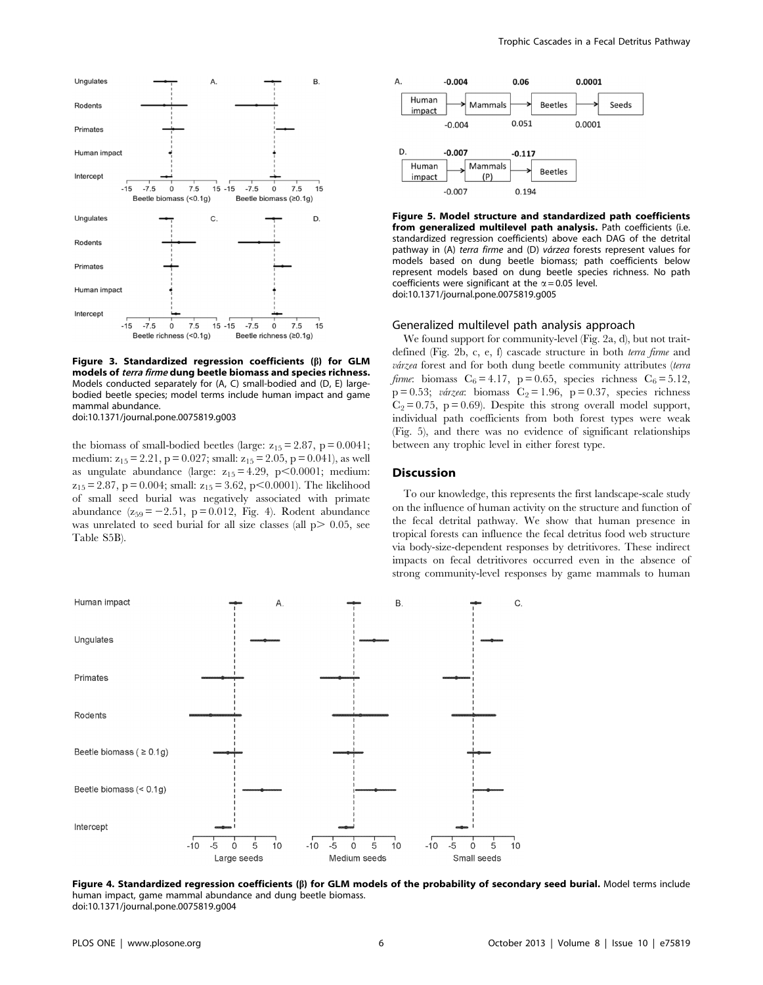

Figure 3. Standardized regression coefficients  $(\beta)$  for GLM models of terra firme dung beetle biomass and species richness. Models conducted separately for (A, C) small-bodied and (D, E) largebodied beetle species; model terms include human impact and game mammal abundance. doi:10.1371/journal.pone.0075819.g003

the biomass of small-bodied beetles (large:  $z_{15} = 2.87$ , p = 0.0041; medium:  $z_{15} = 2.21$ , p = 0.027; small:  $z_{15} = 2.05$ , p = 0.041), as well as ungulate abundance (large:  $z_{15} = 4.29$ , p $\leq 0.0001$ ; medium:  $z_{15} = 2.87$ , p = 0.004; small:  $z_{15} = 3.62$ , p $\leq 0.0001$ ). The likelihood of small seed burial was negatively associated with primate abundance  $(z_{59} = -2.51, p = 0.012, Fig. 4)$ . Rodent abundance was unrelated to seed burial for all size classes (all  $p > 0.05$ , see Table S5B).



Figure 5. Model structure and standardized path coefficients from generalized multilevel path analysis. Path coefficients (i.e. standardized regression coefficients) above each DAG of the detrital pathway in (A) terra firme and (D) várzea forests represent values for models based on dung beetle biomass; path coefficients below represent models based on dung beetle species richness. No path coefficients were significant at the  $\alpha = 0.05$  level. doi:10.1371/journal.pone.0075819.g005

### Generalized multilevel path analysis approach

We found support for community-level (Fig. 2a, d), but not traitdefined (Fig. 2b, c, e, f) cascade structure in both terra firme and várzea forest and for both dung beetle community attributes (terra *firme*: biomass  $C_6 = 4.17$ ,  $p = 0.65$ , species richness  $C_6 = 5.12$ ,  $p = 0.53$ ; várzea: biomass C<sub>2</sub> = 1.96, p = 0.37, species richness  $C_2 = 0.75$ , p = 0.69). Despite this strong overall model support, individual path coefficients from both forest types were weak (Fig. 5), and there was no evidence of significant relationships between any trophic level in either forest type.

#### **Discussion**

To our knowledge, this represents the first landscape-scale study on the influence of human activity on the structure and function of the fecal detrital pathway. We show that human presence in tropical forests can influence the fecal detritus food web structure via body-size-dependent responses by detritivores. These indirect impacts on fecal detritivores occurred even in the absence of strong community-level responses by game mammals to human



Figure 4. Standardized regression coefficients ( $\beta$ ) for GLM models of the probability of secondary seed burial. Model terms include human impact, game mammal abundance and dung beetle biomass. doi:10.1371/journal.pone.0075819.g004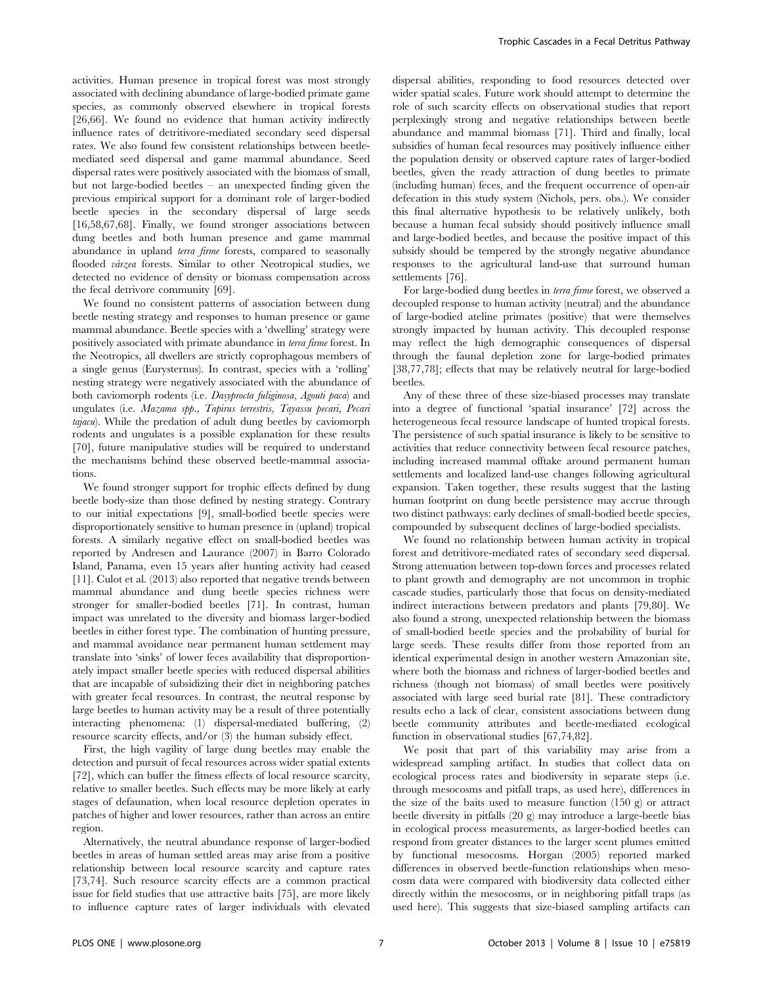activities. Human presence in tropical forest was most strongly associated with declining abundance of large-bodied primate game species, as commonly observed elsewhere in tropical forests [26,66]. We found no evidence that human activity indirectly influence rates of detritivore-mediated secondary seed dispersal rates. We also found few consistent relationships between beetlemediated seed dispersal and game mammal abundance. Seed dispersal rates were positively associated with the biomass of small, but not large-bodied beetles – an unexpected finding given the previous empirical support for a dominant role of larger-bodied beetle species in the secondary dispersal of large seeds [16,58,67,68]. Finally, we found stronger associations between dung beetles and both human presence and game mammal abundance in upland terra firme forests, compared to seasonally flooded várzea forests. Similar to other Neotropical studies, we detected no evidence of density or biomass compensation across the fecal detrivore community [69].

We found no consistent patterns of association between dung beetle nesting strategy and responses to human presence or game mammal abundance. Beetle species with a 'dwelling' strategy were positively associated with primate abundance in terra firme forest. In the Neotropics, all dwellers are strictly coprophagous members of a single genus (Eurysternus). In contrast, species with a 'rolling' nesting strategy were negatively associated with the abundance of both caviomorph rodents (i.e. Dasyprocta fuliginosa, Agouti paca) and ungulates (i.e. Mazama spp., Tapirus terrestris, Tayassu pecari, Pecari tajacu). While the predation of adult dung beetles by caviomorph rodents and ungulates is a possible explanation for these results [70], future manipulative studies will be required to understand the mechanisms behind these observed beetle-mammal associations.

We found stronger support for trophic effects defined by dung beetle body-size than those defined by nesting strategy. Contrary to our initial expectations [9], small-bodied beetle species were disproportionately sensitive to human presence in (upland) tropical forests. A similarly negative effect on small-bodied beetles was reported by Andresen and Laurance (2007) in Barro Colorado Island, Panama, even 15 years after hunting activity had ceased [11]. Culot et al. (2013) also reported that negative trends between mammal abundance and dung beetle species richness were stronger for smaller-bodied beetles [71]. In contrast, human impact was unrelated to the diversity and biomass larger-bodied beetles in either forest type. The combination of hunting pressure, and mammal avoidance near permanent human settlement may translate into 'sinks' of lower feces availability that disproportionately impact smaller beetle species with reduced dispersal abilities that are incapable of subsidizing their diet in neighboring patches with greater fecal resources. In contrast, the neutral response by large beetles to human activity may be a result of three potentially interacting phenomena: (1) dispersal-mediated buffering, (2) resource scarcity effects, and/or (3) the human subsidy effect.

First, the high vagility of large dung beetles may enable the detection and pursuit of fecal resources across wider spatial extents [72], which can buffer the fitness effects of local resource scarcity, relative to smaller beetles. Such effects may be more likely at early stages of defaunation, when local resource depletion operates in patches of higher and lower resources, rather than across an entire region.

Alternatively, the neutral abundance response of larger-bodied beetles in areas of human settled areas may arise from a positive relationship between local resource scarcity and capture rates [73,74]. Such resource scarcity effects are a common practical issue for field studies that use attractive baits [75], are more likely to influence capture rates of larger individuals with elevated dispersal abilities, responding to food resources detected over wider spatial scales. Future work should attempt to determine the role of such scarcity effects on observational studies that report perplexingly strong and negative relationships between beetle abundance and mammal biomass [71]. Third and finally, local subsidies of human fecal resources may positively influence either the population density or observed capture rates of larger-bodied beetles, given the ready attraction of dung beetles to primate (including human) feces, and the frequent occurrence of open-air defecation in this study system (Nichols, pers. obs.). We consider this final alternative hypothesis to be relatively unlikely, both because a human fecal subsidy should positively influence small and large-bodied beetles, and because the positive impact of this subsidy should be tempered by the strongly negative abundance responses to the agricultural land-use that surround human settlements [76].

For large-bodied dung beetles in terra firme forest, we observed a decoupled response to human activity (neutral) and the abundance of large-bodied ateline primates (positive) that were themselves strongly impacted by human activity. This decoupled response may reflect the high demographic consequences of dispersal through the faunal depletion zone for large-bodied primates [38,77,78]; effects that may be relatively neutral for large-bodied beetles.

Any of these three of these size-biased processes may translate into a degree of functional 'spatial insurance' [72] across the heterogeneous fecal resource landscape of hunted tropical forests. The persistence of such spatial insurance is likely to be sensitive to activities that reduce connectivity between fecal resource patches, including increased mammal offtake around permanent human settlements and localized land-use changes following agricultural expansion. Taken together, these results suggest that the lasting human footprint on dung beetle persistence may accrue through two distinct pathways: early declines of small-bodied beetle species, compounded by subsequent declines of large-bodied specialists.

We found no relationship between human activity in tropical forest and detritivore-mediated rates of secondary seed dispersal. Strong attenuation between top-down forces and processes related to plant growth and demography are not uncommon in trophic cascade studies, particularly those that focus on density-mediated indirect interactions between predators and plants [79,80]. We also found a strong, unexpected relationship between the biomass of small-bodied beetle species and the probability of burial for large seeds. These results differ from those reported from an identical experimental design in another western Amazonian site, where both the biomass and richness of larger-bodied beetles and richness (though not biomass) of small beetles were positively associated with large seed burial rate [81]. These contradictory results echo a lack of clear, consistent associations between dung beetle community attributes and beetle-mediated ecological function in observational studies [67,74,82].

We posit that part of this variability may arise from a widespread sampling artifact. In studies that collect data on ecological process rates and biodiversity in separate steps (i.e. through mesocosms and pitfall traps, as used here), differences in the size of the baits used to measure function (150 g) or attract beetle diversity in pitfalls (20 g) may introduce a large-beetle bias in ecological process measurements, as larger-bodied beetles can respond from greater distances to the larger scent plumes emitted by functional mesocosms. Horgan (2005) reported marked differences in observed beetle-function relationships when mesocosm data were compared with biodiversity data collected either directly within the mesocosms, or in neighboring pitfall traps (as used here). This suggests that size-biased sampling artifacts can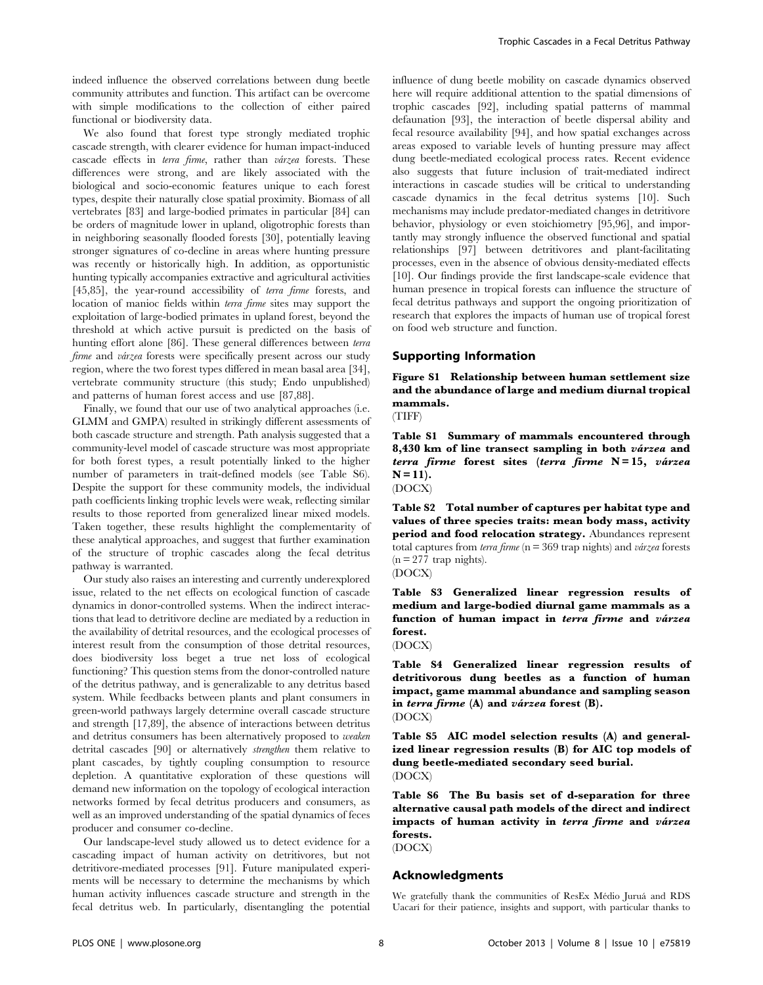indeed influence the observed correlations between dung beetle community attributes and function. This artifact can be overcome with simple modifications to the collection of either paired functional or biodiversity data.

We also found that forest type strongly mediated trophic cascade strength, with clearer evidence for human impact-induced cascade effects in terra firme, rather than várzea forests. These differences were strong, and are likely associated with the biological and socio-economic features unique to each forest types, despite their naturally close spatial proximity. Biomass of all vertebrates [83] and large-bodied primates in particular [84] can be orders of magnitude lower in upland, oligotrophic forests than in neighboring seasonally flooded forests [30], potentially leaving stronger signatures of co-decline in areas where hunting pressure was recently or historically high. In addition, as opportunistic hunting typically accompanies extractive and agricultural activities [45,85], the year-round accessibility of terra firme forests, and location of manioc fields within terra firme sites may support the exploitation of large-bodied primates in upland forest, beyond the threshold at which active pursuit is predicted on the basis of hunting effort alone [86]. These general differences between terra firme and várzea forests were specifically present across our study region, where the two forest types differed in mean basal area [34], vertebrate community structure (this study; Endo unpublished) and patterns of human forest access and use [87,88].

Finally, we found that our use of two analytical approaches (i.e. GLMM and GMPA) resulted in strikingly different assessments of both cascade structure and strength. Path analysis suggested that a community-level model of cascade structure was most appropriate for both forest types, a result potentially linked to the higher number of parameters in trait-defined models (see Table S6). Despite the support for these community models, the individual path coefficients linking trophic levels were weak, reflecting similar results to those reported from generalized linear mixed models. Taken together, these results highlight the complementarity of these analytical approaches, and suggest that further examination of the structure of trophic cascades along the fecal detritus pathway is warranted.

Our study also raises an interesting and currently underexplored issue, related to the net effects on ecological function of cascade dynamics in donor-controlled systems. When the indirect interactions that lead to detritivore decline are mediated by a reduction in the availability of detrital resources, and the ecological processes of interest result from the consumption of those detrital resources, does biodiversity loss beget a true net loss of ecological functioning? This question stems from the donor-controlled nature of the detritus pathway, and is generalizable to any detritus based system. While feedbacks between plants and plant consumers in green-world pathways largely determine overall cascade structure and strength [17,89], the absence of interactions between detritus and detritus consumers has been alternatively proposed to weaken detrital cascades [90] or alternatively strengthen them relative to plant cascades, by tightly coupling consumption to resource depletion. A quantitative exploration of these questions will demand new information on the topology of ecological interaction networks formed by fecal detritus producers and consumers, as well as an improved understanding of the spatial dynamics of feces producer and consumer co-decline.

Our landscape-level study allowed us to detect evidence for a cascading impact of human activity on detritivores, but not detritivore-mediated processes [91]. Future manipulated experiments will be necessary to determine the mechanisms by which human activity influences cascade structure and strength in the fecal detritus web. In particularly, disentangling the potential influence of dung beetle mobility on cascade dynamics observed here will require additional attention to the spatial dimensions of trophic cascades [92], including spatial patterns of mammal defaunation [93], the interaction of beetle dispersal ability and fecal resource availability [94], and how spatial exchanges across areas exposed to variable levels of hunting pressure may affect dung beetle-mediated ecological process rates. Recent evidence also suggests that future inclusion of trait-mediated indirect interactions in cascade studies will be critical to understanding cascade dynamics in the fecal detritus systems [10]. Such mechanisms may include predator-mediated changes in detritivore behavior, physiology or even stoichiometry [95,96], and importantly may strongly influence the observed functional and spatial relationships [97] between detritivores and plant-facilitating processes, even in the absence of obvious density-mediated effects [10]. Our findings provide the first landscape-scale evidence that human presence in tropical forests can influence the structure of fecal detritus pathways and support the ongoing prioritization of research that explores the impacts of human use of tropical forest on food web structure and function.

# Supporting Information

Figure S1 Relationship between human settlement size and the abundance of large and medium diurnal tropical mammals.



Table S1 Summary of mammals encountered through 8,430 km of line transect sampling in both  $vá rze a$  and terra firme forest sites (terra firme  $N = 15$ , várzea  $N = 11$ .

(DOCX)

Table S2 Total number of captures per habitat type and values of three species traits: mean body mass, activity period and food relocation strategy. Abundances represent total captures from *terra firme* ( $n = 369$  trap nights) and *várzea* forests  $(n = 277$  trap nights).



Table S3 Generalized linear regression results of medium and large-bodied diurnal game mammals as a function of human impact in terra firme and várzea forest.

(DOCX)

Table S4 Generalized linear regression results of detritivorous dung beetles as a function of human impact, game mammal abundance and sampling season in terra firme  $(A)$  and várzea forest  $(B)$ . (DOCX)

Table S5 AIC model selection results (A) and generalized linear regression results (B) for AIC top models of dung beetle-mediated secondary seed burial. (DOCX)

Table S6 The Bu basis set of d-separation for three alternative causal path models of the direct and indirect impacts of human activity in terra firme and várzea forests.

(DOCX)

# Acknowledgments

We gratefully thank the communities of ResEx Médio Juruá and RDS Uacarí for their patience, insights and support, with particular thanks to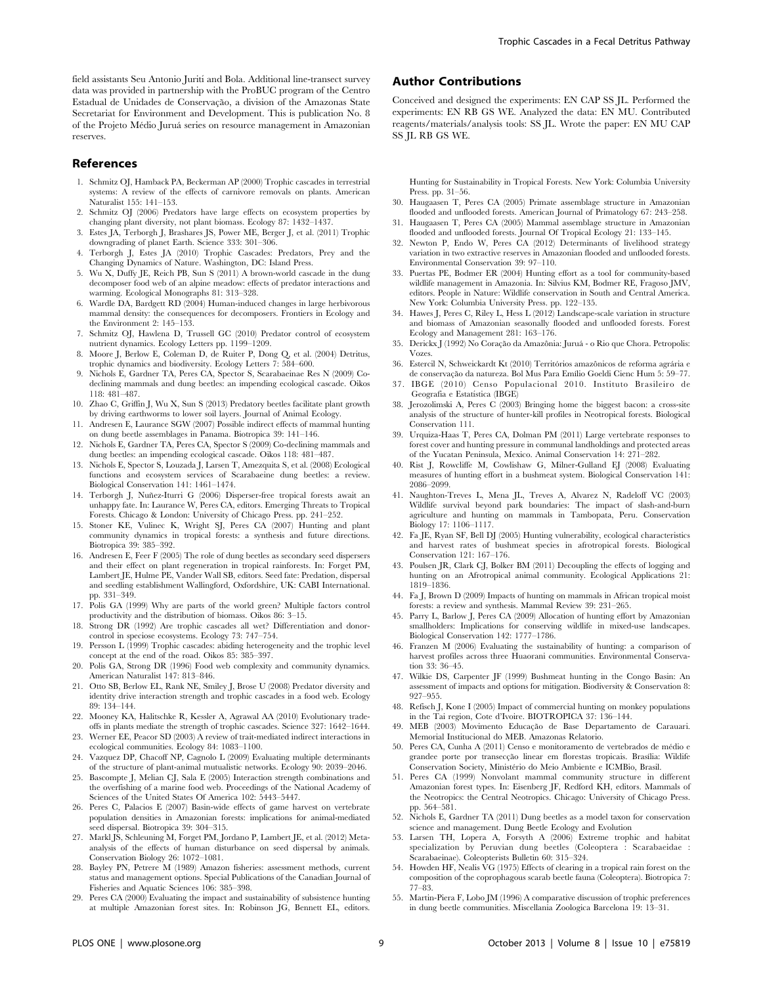field assistants Seu Antonio Jurití and Bola. Additional line-transect survey data was provided in partnership with the ProBUC program of the Centro Estadual de Unidades de Conservação, a division of the Amazonas State Secretariat for Environment and Development. This is publication No. 8 of the Projeto Médio Juruá series on resource management in Amazonian reserves.

#### References

- 1. Schmitz OJ, Hamback PA, Beckerman AP (2000) Trophic cascades in terrestrial systems: A review of the effects of carnivore removals on plants. American Naturalist 155: 141–153.
- 2. Schmitz OJ (2006) Predators have large effects on ecosystem properties by changing plant diversity, not plant biomass. Ecology 87: 1432–1437.
- 3. Estes JA, Terborgh J, Brashares JS, Power ME, Berger J, et al. (2011) Trophic downgrading of planet Earth. Science 333: 301–306.
- 4. Terborgh J, Estes JA (2010) Trophic Cascades: Predators, Prey and the Changing Dynamics of Nature. Washington, DC: Island Press.
- 5. Wu X, Duffy JE, Reich PB, Sun S (2011) A brown-world cascade in the dung decomposer food web of an alpine meadow: effects of predator interactions and warming. Ecological Monographs 81: 313–328.
- 6. Wardle DA, Bardgett RD (2004) Human-induced changes in large herbivorous mammal density: the consequences for decomposers. Frontiers in Ecology and the Environment 2: 145–153.
- 7. Schmitz OJ, Hawlena D, Trussell GC (2010) Predator control of ecosystem nutrient dynamics. Ecology Letters pp. 1199–1209.
- 8. Moore J, Berlow E, Coleman D, de Ruiter P, Dong Q, et al. (2004) Detritus, trophic dynamics and biodiversity. Ecology Letters 7: 584–600.
- 9. Nichols E, Gardner TA, Peres CA, Spector S, Scarabaeinae Res N (2009) Codeclining mammals and dung beetles: an impending ecological cascade. Oikos 118: 481–487.
- 10. Zhao C, Griffin J, Wu X, Sun S (2013) Predatory beetles facilitate plant growth by driving earthworms to lower soil layers. Journal of Animal Ecology
- 11. Andresen E, Laurance SGW (2007) Possible indirect effects of mammal hunting on dung beetle assemblages in Panama. Biotropica 39: 141–146.
- 12. Nichols E, Gardner TA, Peres CA, Spector S (2009) Co-declining mammals and dung beetles: an impending ecological cascade. Oikos 118: 481–487.
- 13. Nichols E, Spector S, Louzada J, Larsen T, Amezquita S, et al. (2008) Ecological functions and ecosystem services of Scarabaeine dung beetles: a review. Biological Conservation 141: 1461–1474.
- 14. Terborgh J, Nuñez-Iturri G (2006) Disperser-free tropical forests await an unhappy fate. In: Laurance W, Peres CA, editors. Emerging Threats to Tropical Forests. Chicago & London: University of Chicago Press. pp. 241–252.
- 15. Stoner KE, Vulinec K, Wright SJ, Peres CA (2007) Hunting and plant community dynamics in tropical forests: a synthesis and future directions. Biotropica 39: 385–392.
- 16. Andresen E, Feer F (2005) The role of dung beetles as secondary seed dispersers and their effect on plant regeneration in tropical rainforests. In: Forget PM, Lambert JE, Hulme PE, Vander Wall SB, editors. Seed fate: Predation, dispersal and seedling establishment Wallingford, Oxfordshire, UK: CABI International. pp. 331–349.
- 17. Polis GA (1999) Why are parts of the world green? Multiple factors control productivity and the distribution of biomass. Oikos 86: 3–15.
- 18. Strong DR (1992) Are trophic cascades all wet? Differentiation and donorcontrol in speciose ecosystems. Ecology 73: 747–754.
- 19. Persson L (1999) Trophic cascades: abiding heterogeneity and the trophic level concept at the end of the road. Oikos 85: 385–397.
- 20. Polis GA, Strong DR (1996) Food web complexity and community dynamics. American Naturalist 147: 813–846.
- 21. Otto SB, Berlow EL, Rank NE, Smiley J, Brose U (2008) Predator diversity and identity drive interaction strength and trophic cascades in a food web. Ecology 89: 134–144.
- 22. Mooney KA, Halitschke R, Kessler A, Agrawal AA (2010) Evolutionary tradeoffs in plants mediate the strength of trophic cascades. Science 327: 1642–1644.
- 23. Werner EE, Peacor SD (2003) A review of trait-mediated indirect interactions in ecological communities. Ecology 84: 1083–1100.
- 24. Vazquez DP, Chacoff NP, Cagnolo L (2009) Evaluating multiple determinants of the structure of plant-animal mutualistic networks. Ecology 90: 2039–2046.
- 25. Bascompte J, Melian CJ, Sala E (2005) Interaction strength combinations and the overfishing of a marine food web. Proceedings of the National Academy of Sciences of the United States Of America 102: 5443–5447.
- 26. Peres C, Palacios E (2007) Basin-wide effects of game harvest on vertebrate population densities in Amazonian forests: implications for animal-mediated seed dispersal. Biotropica 39: 304–315.
- 27. Markl JS, Schleuning M, Forget PM, Jordano P, Lambert JE, et al. (2012) Metaanalysis of the effects of human disturbance on seed dispersal by animals. Conservation Biology 26: 1072–1081.
- 28. Bayley PN, Petrere M (1989) Amazon fisheries: assessment methods, current status and management options. Special Publications of the Canadian Journal of Fisheries and Aquatic Sciences 106: 385–398.
- 29. Peres CA (2000) Evaluating the impact and sustainability of subsistence hunting at multiple Amazonian forest sites. In: Robinson JG, Bennett EL, editors.

# Author Contributions

Conceived and designed the experiments: EN CAP SS JL. Performed the experiments: EN RB GS WE. Analyzed the data: EN MU. Contributed reagents/materials/analysis tools: SS JL. Wrote the paper: EN MU CAP SS JL RB GS WE.

Hunting for Sustainability in Tropical Forests. New York: Columbia University Press. pp. 31–56.

- 30. Haugaasen T, Peres CA (2005) Primate assemblage structure in Amazonian flooded and unflooded forests. American Journal of Primatology 67: 243–258.
- 31. Haugaasen T, Peres CA (2005) Mammal assemblage structure in Amazonian flooded and unflooded forests. Journal Of Tropical Ecology 21: 133–145.
- 32. Newton P, Endo W, Peres CA (2012) Determinants of livelihood strategy variation in two extractive reserves in Amazonian flooded and unflooded forests. Environmental Conservation 39: 97–110.
- 33. Puertas PE, Bodmer ER (2004) Hunting effort as a tool for community-based wildlife management in Amazonia. In: Silvius KM, Bodmer RE, Fragoso IMV, editors. People in Nature: Wildlife conservation in South and Central America. New York: Columbia University Press. pp. 122–135.
- 34. Hawes J, Peres C, Riley L, Hess L (2012) Landscape-scale variation in structure and biomass of Amazonian seasonally flooded and unflooded forests. Forest Ecology and Management 281: 163–176.
- 35. Derickx J (1992) No Coração da Amazônia: Juruá o Rio que Chora. Petropolis: Vozes.
- 36. Estercil N, Schweickardt Kt (2010) Territórios amazônicos de reforma agrária e de conservação da natureza. Bol Mus Para Emílio Goeldi Cienc Hum 5: 59-77.
- 37. IBGE (2010) Censo Populacional 2010. Instituto Brasileiro de Geografia e Estatística (IBGE)
- 38. Jerozolimski A, Peres C (2003) Bringing home the biggest bacon: a cross-site analysis of the structure of hunter-kill profiles in Neotropical forests. Biological Conservation 111.
- 39. Urquiza-Haas T, Peres CA, Dolman PM (2011) Large vertebrate responses to forest cover and hunting pressure in communal landholdings and protected areas of the Yucatan Peninsula, Mexico. Animal Conservation 14: 271–282.
- 40. Rist J, Rowcliffe M, Cowlishaw G, Milner-Gulland EJ (2008) Evaluating measures of hunting effort in a bushmeat system. Biological Conservation 141: 2086–2099.
- 41. Naughton-Treves L, Mena JL, Treves A, Alvarez N, Radeloff VC (2003) Wildlife survival beyond park boundaries: The impact of slash-and-burn agriculture and hunting on mammals in Tambopata, Peru. Conservation Biology 17: 1106–1117.
- 42. Fa JE, Ryan SF, Bell DJ (2005) Hunting vulnerability, ecological characteristics and harvest rates of bushmeat species in afrotropical forests. Biological Conservation 121: 167–176.
- 43. Poulsen JR, Clark CJ, Bolker BM (2011) Decoupling the effects of logging and hunting on an Afrotropical animal community. Ecological Applications 21: 1819–1836.
- 44. Fa J, Brown D (2009) Impacts of hunting on mammals in African tropical moist forests: a review and synthesis. Mammal Review 39: 231–265.
- 45. Parry L, Barlow J, Peres CA (2009) Allocation of hunting effort by Amazonian smallholders: Implications for conserving wildlife in mixed-use landscapes. Biological Conservation 142: 1777–1786.
- 46. Franzen M (2006) Evaluating the sustainability of hunting: a comparison of harvest profiles across three Huaorani communities. Environmental Conservation 33: 36–45.
- 47. Wilkie DS, Carpenter JF (1999) Bushmeat hunting in the Congo Basin: An assessment of impacts and options for mitigation. Biodiversity & Conservation 8: 927–955.
- 48. Refisch J, Kone I (2005) Impact of commercial hunting on monkey populations in the Tai region, Cote d'Ivoire. BIOTROPICA 37: 136–144.
- 49. MEB (2003) Movimento Educação de Base Departamento de Carauari. Memorial Institucional do MEB. Amazonas Relatorio.
- 50. Peres CA, Cunha A $\left( 2011\right)$  Censo e monitoramento de vertebrados de médio e grandee porte por transecção linear em florestas tropicais. Brasília: Wildife Conservation Society, Ministério do Meio Ambiente e ICMBio, Brasil.
- 51. Peres CA (1999) Nonvolant mammal community structure in different Amazonian forest types. In: Eisenberg JF, Redford KH, editors. Mammals of the Neotropics: the Central Neotropics. Chicago: University of Chicago Press. pp. 564–581.
- 52. Nichols E, Gardner TA (2011) Dung beetles as a model taxon for conservation science and management. Dung Beetle Ecology and Evolution
- 53. Larsen TH, Lopera A, Forsyth A (2006) Extreme trophic and habitat specialization by Peruvian dung beetles (Coleoptera : Scarabaeidae : Scarabaeinae). Coleopterists Bulletin 60: 315–324.
- 54. Howden HF, Nealis VG (1975) Effects of clearing in a tropical rain forest on the composition of the coprophagous scarab beetle fauna (Coleoptera). Biotropica 7: 77–83.
- 55. Martin-Piera F, Lobo JM (1996) A comparative discussion of trophic preferences in dung beetle communities. Miscellania Zoologica Barcelona 19: 13–31.